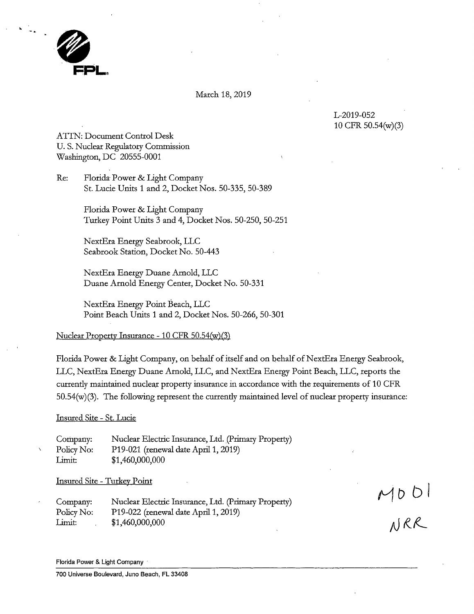

## March 18, 2019

L-2019-052 10 CFR 50.54(w)(3)

ATTN: Document Control Desk U.S. Nuclear Regulatory Commission Washington, DC 20555-0001

Re: Florida Power & Light Company St. Lucie Units 1 and 2, Docket Nos. 50-335, 50-389

> Florida Power & Light Company Turkey Point Units 3 and 4, Docket Nos. 50-250, 50-251

NextEra Energy Seabrook, LLC Seabrook Station, Docket No. 50-443

NextEra Energy Duane Arnold, LLC Duane Arnold Energy Center, Docket No. 50-331

NextEra Energy Point Beach, LLC Point Beach Units 1 and 2, Docket Nos. 50-266, 50-301

## Nuclear Property Insurance -10 CFR 50.54(w)(3)

Florida Power & Light Company, on behalf of itself and on behalf of NextEra Energy Seabrook, LLC, NextEra Energy Duane Arnold, LLC, and NextEra Energy Point Beach, LLC, reports the currently maintained nuclear property insurance in accordance with the requirements of 10 CFR 50.54(w)(3). The following represent the currently maintained level of nuclear property insurance:

## Insured Site - St. Lucie

Company: Policy No: Limit: Nuclear Electric Insurance, Ltd. (Primary Property) P19-021 (renewal date April 1, 2019) \$1,460,000,000

Insured Site - Turkey Point

Company: Policy No: Limit: Nuclear Electric Insurance, Ltd. (Primary Property) Pl 9-022 (renewal date April 1, 2019) \$1,460,000,000

 $MUDU$ 

Florida Power & Light Company ·

700 Universe Boulevard, Juno Beach, FL 33408